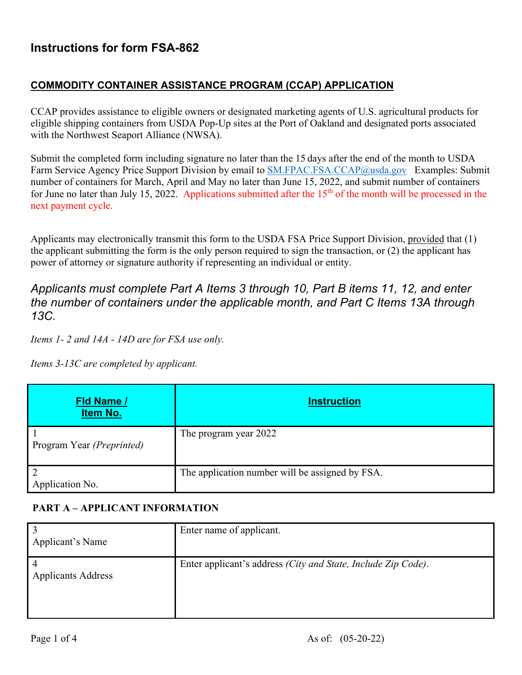# **Instructions for form FSA-862**

#### **COMMODITY CONTAINER ASSISTANCE PROGRAM (CCAP) APPLICATION**

CCAP provides assistance to eligible owners or designated marketing agents of U.S. agricultural products for eligible shipping containers from USDA Pop-Up sites at the Port of Oakland and designated ports associated with the Northwest Seaport Alliance (NWSA).

Submit the completed form including signature no later than the 15 days after the end of the month to USDA Farm Service Agency Price Support Division by email to [SM.FPAC.FSA.CCAP@usda.gov](mailto:SM.FPAC.FSA.CCAP@usda.gov) Examples: Submit number of containers for March, April and May no later than June 15, 2022, and submit number of containers for June no later than July 15, 2022. Applications submitted after the  $15<sup>th</sup>$  of the month will be processed in the next payment cycle.

Applicants may electronically transmit this form to the USDA FSA Price Support Division, provided that (1) the applicant submitting the form is the only person required to sign the transaction, or (2) the applicant has power of attorney or signature authority if representing an individual or entity.

## *Applicants must complete Part A Items 3 through 10, Part B items 11, 12, and enter the number of containers under the applicable month, and Part C Items 13A through 13C.*

*Items 1- 2 and 14A - 14D are for FSA use only.* 

*Items 3-13C are completed by applicant.* 

| Fld Name /<br>Item No.            | <b>Instruction</b>                              |
|-----------------------------------|-------------------------------------------------|
| Program Year (Preprinted)         | The program year 2022                           |
| $\overline{2}$<br>Application No. | The application number will be assigned by FSA. |

### **PART A – APPLICANT INFORMATION**

| Applicant's Name          | Enter name of applicant.                                              |
|---------------------------|-----------------------------------------------------------------------|
| <b>Applicants Address</b> | Enter applicant's address <i>(City and State, Include Zip Code)</i> . |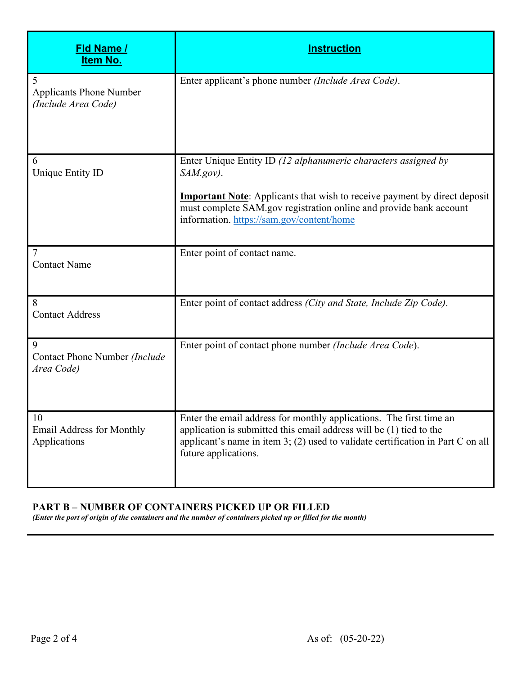| <b>Fld Name /</b><br><b>Item No.</b>                       | <b>Instruction</b>                                                                                                                                                                                                                                                                   |
|------------------------------------------------------------|--------------------------------------------------------------------------------------------------------------------------------------------------------------------------------------------------------------------------------------------------------------------------------------|
| 5<br><b>Applicants Phone Number</b><br>(Include Area Code) | Enter applicant's phone number (Include Area Code).                                                                                                                                                                                                                                  |
| 6<br>Unique Entity ID                                      | Enter Unique Entity ID (12 alphanumeric characters assigned by<br>$SAM.gov$ .<br><b>Important Note:</b> Applicants that wish to receive payment by direct deposit<br>must complete SAM.gov registration online and provide bank account<br>information. https://sam.gov/content/home |
| 7<br><b>Contact Name</b>                                   | Enter point of contact name.                                                                                                                                                                                                                                                         |
| 8<br><b>Contact Address</b>                                | Enter point of contact address (City and State, Include Zip Code).                                                                                                                                                                                                                   |
| 9<br>Contact Phone Number (Include<br>Area Code)           | Enter point of contact phone number (Include Area Code).                                                                                                                                                                                                                             |
| 10<br><b>Email Address for Monthly</b><br>Applications     | Enter the email address for monthly applications. The first time an<br>application is submitted this email address will be $(1)$ tied to the<br>applicant's name in item $3$ ; (2) used to validate certification in Part C on all<br>future applications.                           |

#### **PART B – NUMBER OF CONTAINERS PICKED UP OR FILLED**

*(Enter the port of origin of the containers and the number of containers picked up or filled for the month)*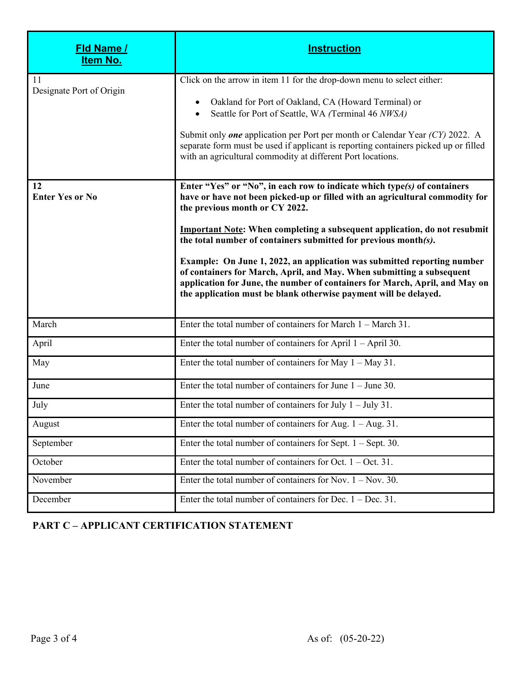| <u>Fld Name /</u><br>Item No.  | <b>Instruction</b>                                                                                                                                                                                                                                                                                                                                                                                                                                                                                                                                                                                                                                       |
|--------------------------------|----------------------------------------------------------------------------------------------------------------------------------------------------------------------------------------------------------------------------------------------------------------------------------------------------------------------------------------------------------------------------------------------------------------------------------------------------------------------------------------------------------------------------------------------------------------------------------------------------------------------------------------------------------|
| 11<br>Designate Port of Origin | Click on the arrow in item 11 for the drop-down menu to select either:<br>Oakland for Port of Oakland, CA (Howard Terminal) or<br>Seattle for Port of Seattle, WA (Terminal 46 NWSA)<br>Submit only <i>one</i> application per Port per month or Calendar Year $(CY)$ 2022. A<br>separate form must be used if applicant is reporting containers picked up or filled<br>with an agricultural commodity at different Port locations.                                                                                                                                                                                                                      |
| 12<br><b>Enter Yes or No</b>   | Enter "Yes" or "No", in each row to indicate which type(s) of containers<br>have or have not been picked-up or filled with an agricultural commodity for<br>the previous month or CY 2022.<br><b>Important Note:</b> When completing a subsequent application, do not resubmit<br>the total number of containers submitted for previous month(s).<br>Example: On June 1, 2022, an application was submitted reporting number<br>of containers for March, April, and May. When submitting a subsequent<br>application for June, the number of containers for March, April, and May on<br>the application must be blank otherwise payment will be delayed. |
| March                          | Enter the total number of containers for March $1 -$ March 31.                                                                                                                                                                                                                                                                                                                                                                                                                                                                                                                                                                                           |
| April                          | Enter the total number of containers for April $1 -$ April 30.                                                                                                                                                                                                                                                                                                                                                                                                                                                                                                                                                                                           |
| May                            | Enter the total number of containers for May $1 - May 31$ .                                                                                                                                                                                                                                                                                                                                                                                                                                                                                                                                                                                              |
| June                           | Enter the total number of containers for June $1 -$ June 30.                                                                                                                                                                                                                                                                                                                                                                                                                                                                                                                                                                                             |
| July                           | Enter the total number of containers for July $1 -$ July 31.                                                                                                                                                                                                                                                                                                                                                                                                                                                                                                                                                                                             |
| August                         | Enter the total number of containers for Aug. $1 - Aug. 31$ .                                                                                                                                                                                                                                                                                                                                                                                                                                                                                                                                                                                            |
| September                      | Enter the total number of containers for Sept. $1 -$ Sept. 30.                                                                                                                                                                                                                                                                                                                                                                                                                                                                                                                                                                                           |
| October                        | Enter the total number of containers for Oct. $1 - Oct. 31$ .                                                                                                                                                                                                                                                                                                                                                                                                                                                                                                                                                                                            |
| November                       | Enter the total number of containers for Nov. $1 -$ Nov. 30.                                                                                                                                                                                                                                                                                                                                                                                                                                                                                                                                                                                             |
| December                       | Enter the total number of containers for Dec. $1 - Dec. 31$ .                                                                                                                                                                                                                                                                                                                                                                                                                                                                                                                                                                                            |

## **PART C – APPLICANT CERTIFICATION STATEMENT**